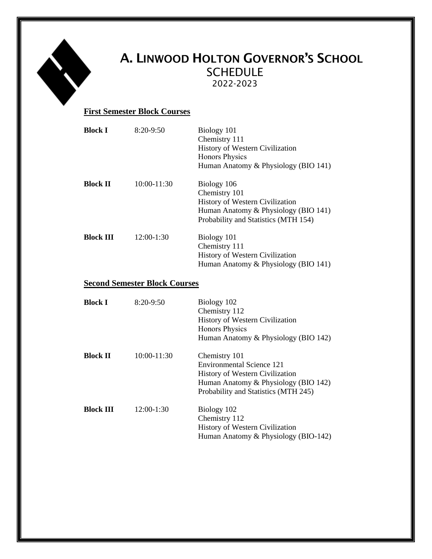

# A. LINWOOD HOLTON GOVERNOR'S SCHOOL SCHEDULE 2022-2023

### **First Semester Block Courses**

| Block I          | $8:20-9:50$   | Biology 101<br>Chemistry 111<br>History of Western Civilization<br><b>Honors Physics</b><br>Human Anatomy & Physiology (BIO 141)                |
|------------------|---------------|-------------------------------------------------------------------------------------------------------------------------------------------------|
| <b>Block II</b>  | $10:00-11:30$ | Biology 106<br>Chemistry 101<br>History of Western Civilization<br>Human Anatomy & Physiology (BIO 141)<br>Probability and Statistics (MTH 154) |
| <b>Block III</b> | 12:00-1:30    | Biology 101<br>Chemistry 111<br>History of Western Civilization<br>Human Anatomy & Physiology (BIO 141)                                         |

### **Second Semester Block Courses**

| <b>Block I</b>   | $8:20-9:50$   | Biology 102<br>Chemistry 112<br><b>History of Western Civilization</b><br><b>Honors Physics</b><br>Human Anatomy & Physiology (BIO 142)                       |
|------------------|---------------|---------------------------------------------------------------------------------------------------------------------------------------------------------------|
| <b>Block II</b>  | $10:00-11:30$ | Chemistry 101<br>Environmental Science 121<br>History of Western Civilization<br>Human Anatomy & Physiology (BIO 142)<br>Probability and Statistics (MTH 245) |
| <b>Block III</b> | $12:00-1:30$  | Biology 102<br>Chemistry 112<br><b>History of Western Civilization</b><br>Human Anatomy & Physiology (BIO-142)                                                |